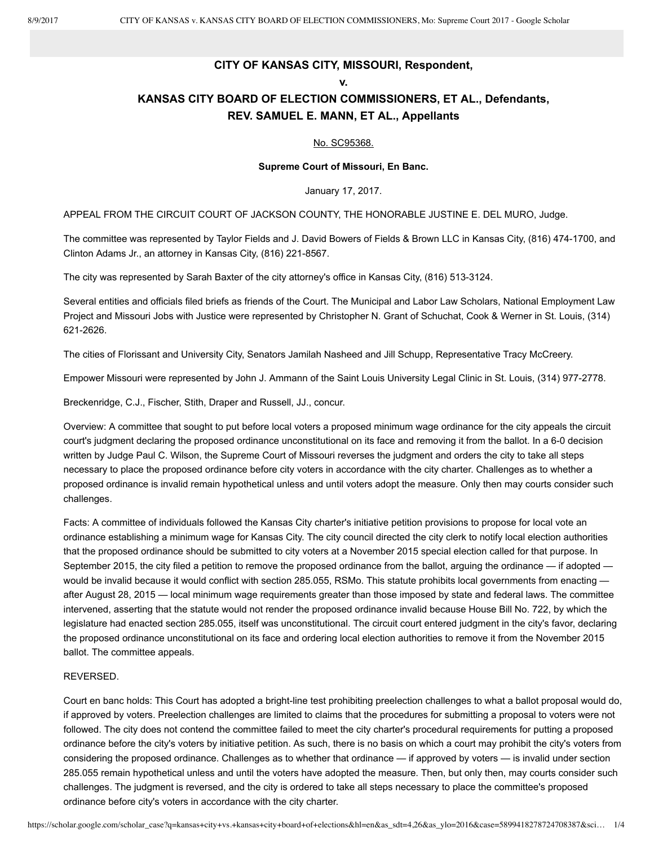### **CITY OF KANSAS CITY, MISSOURI, Respondent, v.**

### **KANSAS CITY BOARD OF ELECTION COMMISSIONERS, ET AL., Defendants, REV. SAMUEL E. MANN, ET AL., Appellants**

### No. SC95368.

#### **Supreme Court of Missouri, En Banc.**

January 17, 2017.

APPEAL FROM THE CIRCUIT COURT OF JACKSON COUNTY, THE HONORABLE JUSTINE E. DEL MURO, Judge.

The committee was represented by Taylor Fields and J. David Bowers of Fields & Brown LLC in Kansas City, (816) 474-1700, and Clinton Adams Jr., an attorney in Kansas City, (816) 221-8567.

The city was represented by Sarah Baxter of the city attorney's office in Kansas City, (816) 513-3124.

Several entities and officials filed briefs as friends of the Court. The Municipal and Labor Law Scholars, National Employment Law Project and Missouri Jobs with Justice were represented by Christopher N. Grant of Schuchat, Cook & Werner in St. Louis, (314) 6212626.

The cities of Florissant and University City, Senators Jamilah Nasheed and Jill Schupp, Representative Tracy McCreery.

Empower Missouri were represented by John J. Ammann of the Saint Louis University Legal Clinic in St. Louis, (314) 977-2778.

Breckenridge, C.J., Fischer, Stith, Draper and Russell, JJ., concur.

Overview: A committee that sought to put before local voters a proposed minimum wage ordinance for the city appeals the circuit court's judgment declaring the proposed ordinance unconstitutional on its face and removing it from the ballot. In a 6-0 decision written by Judge Paul C. Wilson, the Supreme Court of Missouri reverses the judgment and orders the city to take all steps necessary to place the proposed ordinance before city voters in accordance with the city charter. Challenges as to whether a proposed ordinance is invalid remain hypothetical unless and until voters adopt the measure. Only then may courts consider such challenges.

Facts: A committee of individuals followed the Kansas City charter's initiative petition provisions to propose for local vote an ordinance establishing a minimum wage for Kansas City. The city council directed the city clerk to notify local election authorities that the proposed ordinance should be submitted to city voters at a November 2015 special election called for that purpose. In September 2015, the city filed a petition to remove the proposed ordinance from the ballot, arguing the ordinance — if adopted would be invalid because it would conflict with section 285.055, RSMo. This statute prohibits local governments from enacting after August 28, 2015 — local minimum wage requirements greater than those imposed by state and federal laws. The committee intervened, asserting that the statute would not render the proposed ordinance invalid because House Bill No. 722, by which the legislature had enacted section 285.055, itself was unconstitutional. The circuit court entered judgment in the city's favor, declaring the proposed ordinance unconstitutional on its face and ordering local election authorities to remove it from the November 2015 ballot. The committee appeals.

#### REVERSED.

Court en banc holds: This Court has adopted a bright-line test prohibiting preelection challenges to what a ballot proposal would do, if approved by voters. Preelection challenges are limited to claims that the procedures for submitting a proposal to voters were not followed. The city does not contend the committee failed to meet the city charter's procedural requirements for putting a proposed ordinance before the city's voters by initiative petition. As such, there is no basis on which a court may prohibit the city's voters from considering the proposed ordinance. Challenges as to whether that ordinance — if approved by voters — is invalid under section 285.055 remain hypothetical unless and until the voters have adopted the measure. Then, but only then, may courts consider such challenges. The judgment is reversed, and the city is ordered to take all steps necessary to place the committee's proposed ordinance before city's voters in accordance with the city charter.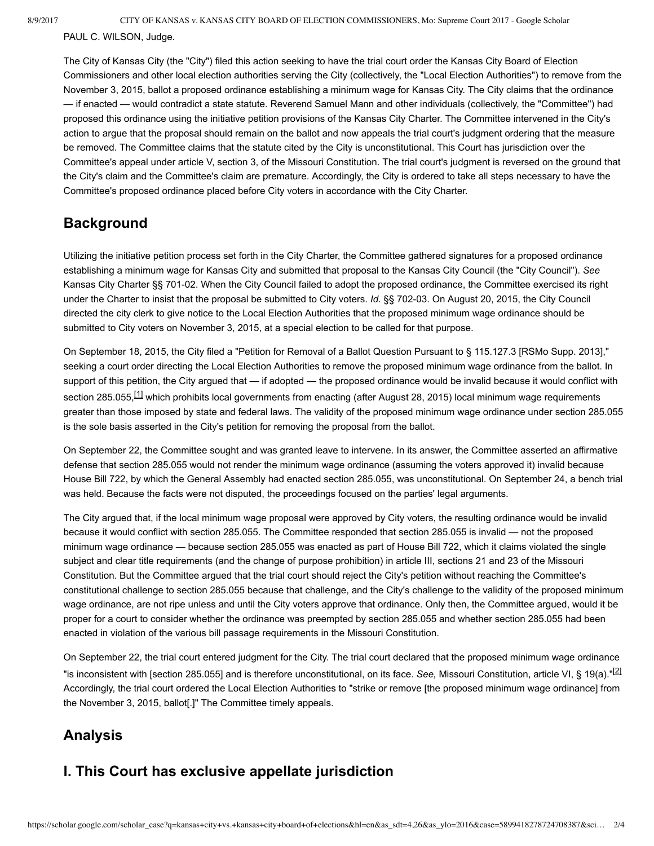PAUL C. WILSON, Judge.

The City of Kansas City (the "City") filed this action seeking to have the trial court order the Kansas City Board of Election Commissioners and other local election authorities serving the City (collectively, the "Local Election Authorities") to remove from the November 3, 2015, ballot a proposed ordinance establishing a minimum wage for Kansas City. The City claims that the ordinance — if enacted — would contradict a state statute. Reverend Samuel Mann and other individuals (collectively, the "Committee") had proposed this ordinance using the initiative petition provisions of the Kansas City Charter. The Committee intervened in the City's action to argue that the proposal should remain on the ballot and now appeals the trial court's judgment ordering that the measure be removed. The Committee claims that the statute cited by the City is unconstitutional. This Court has jurisdiction over the Committee's appeal under article V, section 3, of the Missouri Constitution. The trial court's judgment is reversed on the ground that the City's claim and the Committee's claim are premature. Accordingly, the City is ordered to take all steps necessary to have the Committee's proposed ordinance placed before City voters in accordance with the City Charter.

## **Background**

Utilizing the initiative petition process set forth in the City Charter, the Committee gathered signatures for a proposed ordinance establishing a minimum wage for Kansas City and submitted that proposal to the Kansas City Council (the "City Council"). *See* Kansas City Charter §§ 701-02. When the City Council failed to adopt the proposed ordinance, the Committee exercised its right under the Charter to insist that the proposal be submitted to City voters. *Id.* §§ 702-03. On August 20, 2015, the City Council directed the city clerk to give notice to the Local Election Authorities that the proposed minimum wage ordinance should be submitted to City voters on November 3, 2015, at a special election to be called for that purpose.

On September 18, 2015, the City filed a "Petition for Removal of a Ballot Question Pursuant to § 115.127.3 [RSMo Supp. 2013]," seeking a court order directing the Local Election Authorities to remove the proposed minimum wage ordinance from the ballot. In support of this petition, the City argued that — if adopted — the proposed ordinance would be invalid because it would conflict with section 285.055, $\frac{11}{10}$  which prohibits local governments from enacting (after August 28, 2015) local minimum wage requirements greater than those imposed by state and federal laws. The validity of the proposed minimum wage ordinance under section 285.055 is the sole basis asserted in the City's petition for removing the proposal from the ballot.

On September 22, the Committee sought and was granted leave to intervene. In its answer, the Committee asserted an affirmative defense that section 285.055 would not render the minimum wage ordinance (assuming the voters approved it) invalid because House Bill 722, by which the General Assembly had enacted section 285.055, was unconstitutional. On September 24, a bench trial was held. Because the facts were not disputed, the proceedings focused on the parties' legal arguments.

The City argued that, if the local minimum wage proposal were approved by City voters, the resulting ordinance would be invalid because it would conflict with section 285.055. The Committee responded that section 285.055 is invalid — not the proposed minimum wage ordinance — because section 285.055 was enacted as part of House Bill 722, which it claims violated the single subject and clear title requirements (and the change of purpose prohibition) in article III, sections 21 and 23 of the Missouri Constitution. But the Committee argued that the trial court should reject the City's petition without reaching the Committee's constitutional challenge to section 285.055 because that challenge, and the City's challenge to the validity of the proposed minimum wage ordinance, are not ripe unless and until the City voters approve that ordinance. Only then, the Committee argued, would it be proper for a court to consider whether the ordinance was preempted by section 285.055 and whether section 285.055 had been enacted in violation of the various bill passage requirements in the Missouri Constitution.

On September 22, the trial court entered judgment for the City. The trial court declared that the proposed minimum wage ordinance "is inconsistent with [section 285.055] and is therefore unconstitutional, on its face. *See,* Missouri Constitution, article VI, § 19(a)."[2] Accordingly, the trial court ordered the Local Election Authorities to "strike or remove [the proposed minimum wage ordinance] from the November 3, 2015, ballot[.]" The Committee timely appeals.

# **Analysis**

# **I. This Court has exclusive appellate jurisdiction**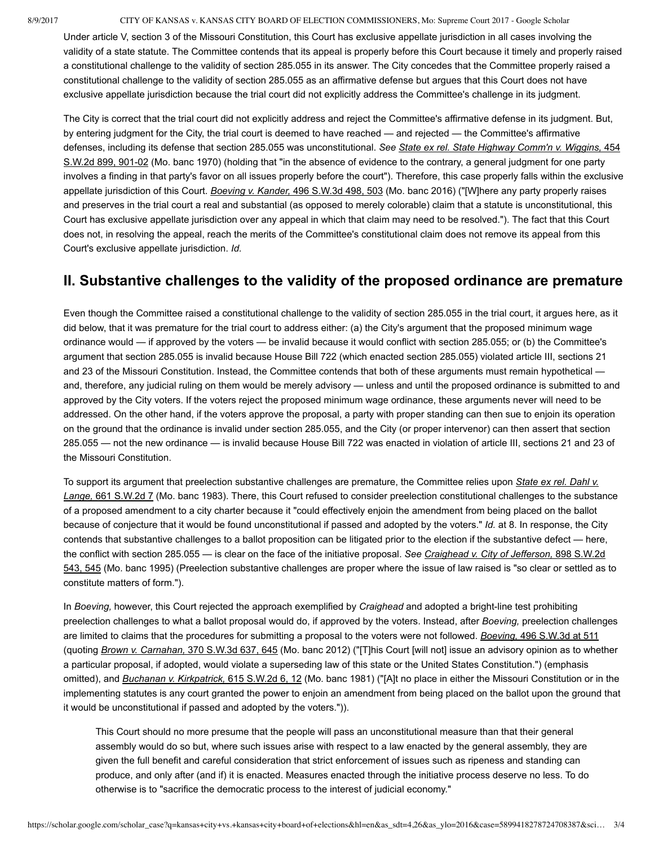### 8/9/2017 CITY OF KANSAS v. KANSAS CITY BOARD OF ELECTION COMMISSIONERS, Mo: Supreme Court 2017 - Google Scholar

Under article V, section 3 of the Missouri Constitution, this Court has exclusive appellate jurisdiction in all cases involving the validity of a state statute. The Committee contends that its appeal is properly before this Court because it timely and properly raised a constitutional challenge to the validity of section 285.055 in its answer. The City concedes that the Committee properly raised a constitutional challenge to the validity of section 285.055 as an affirmative defense but argues that this Court does not have exclusive appellate jurisdiction because the trial court did not explicitly address the Committee's challenge in its judgment.

The City is correct that the trial court did not explicitly address and reject the Committee's affirmative defense in its judgment. But, by entering judgment for the City, the trial court is deemed to have reached — and rejected — the Committee's affirmative defenses, including its defense that section 285.055 was unconstitutional. *See State ex rel. State Highway Comm'n v. Wiggins,* 454 S.W.2d 899, 901-02 (Mo. banc 1970) (holding that "in the absence of evidence to the contrary, a general judgment for one party involves a finding in that party's favor on all issues properly before the court"). Therefore, this case properly falls within the exclusive appellate jurisdiction of this Court. *Boeving v. Kander,* 496 S.W.3d 498, 503 (Mo. banc 2016) ("[W]here any party properly raises and preserves in the trial court a real and substantial (as opposed to merely colorable) claim that a statute is unconstitutional, this Court has exclusive appellate jurisdiction over any appeal in which that claim may need to be resolved."). The fact that this Court does not, in resolving the appeal, reach the merits of the Committee's constitutional claim does not remove its appeal from this Court's exclusive appellate jurisdiction. *Id.*

## **II. Substantive challenges to the validity of the proposed ordinance are premature**

Even though the Committee raised a constitutional challenge to the validity of section 285.055 in the trial court, it argues here, as it did below, that it was premature for the trial court to address either: (a) the City's argument that the proposed minimum wage ordinance would — if approved by the voters — be invalid because it would conflict with section 285.055; or (b) the Committee's argument that section 285.055 is invalid because House Bill 722 (which enacted section 285.055) violated article III, sections 21 and 23 of the Missouri Constitution. Instead, the Committee contends that both of these arguments must remain hypothetical and, therefore, any judicial ruling on them would be merely advisory — unless and until the proposed ordinance is submitted to and approved by the City voters. If the voters reject the proposed minimum wage ordinance, these arguments never will need to be addressed. On the other hand, if the voters approve the proposal, a party with proper standing can then sue to enjoin its operation on the ground that the ordinance is invalid under section 285.055, and the City (or proper intervenor) can then assert that section 285.055 — not the new ordinance — is invalid because House Bill 722 was enacted in violation of article III, sections 21 and 23 of the Missouri Constitution.

To support its argument that preelection substantive challenges are premature, the Committee relies upon *State ex rel. Dahl v. Lange,* 661 S.W.2d 7 (Mo. banc 1983). There, this Court refused to consider preelection constitutional challenges to the substance of a proposed amendment to a city charter because it "could effectively enjoin the amendment from being placed on the ballot because of conjecture that it would be found unconstitutional if passed and adopted by the voters." *Id.* at 8. In response, the City contends that substantive challenges to a ballot proposition can be litigated prior to the election if the substantive defect — here, the conflict with section 285.055 — is clear on the face of the initiative proposal. *See Craighead v. City of Jefferson,* 898 S.W.2d 543, 545 (Mo. banc 1995) (Preelection substantive challenges are proper where the issue of law raised is "so clear or settled as to constitute matters of form.").

In *Boeving,* however, this Court rejected the approach exemplified by *Craighead* and adopted a bright-line test prohibiting preelection challenges to what a ballot proposal would do, if approved by the voters. Instead, after *Boeving,* preelection challenges are limited to claims that the procedures for submitting a proposal to the voters were not followed. *Boeving,* 496 S.W.3d at 511 (quoting *Brown v. Carnahan,* 370 S.W.3d 637, 645 (Mo. banc 2012) ("[T]his Court [will not] issue an advisory opinion as to whether a particular proposal, if adopted, would violate a superseding law of this state or the United States Constitution.") (emphasis omitted), and *Buchanan v. Kirkpatrick,* 615 S.W.2d 6, 12 (Mo. banc 1981) ("[A]t no place in either the Missouri Constitution or in the implementing statutes is any court granted the power to enjoin an amendment from being placed on the ballot upon the ground that it would be unconstitutional if passed and adopted by the voters.")).

This Court should no more presume that the people will pass an unconstitutional measure than that their general assembly would do so but, where such issues arise with respect to a law enacted by the general assembly, they are given the full benefit and careful consideration that strict enforcement of issues such as ripeness and standing can produce, and only after (and if) it is enacted. Measures enacted through the initiative process deserve no less. To do otherwise is to "sacrifice the democratic process to the interest of judicial economy."